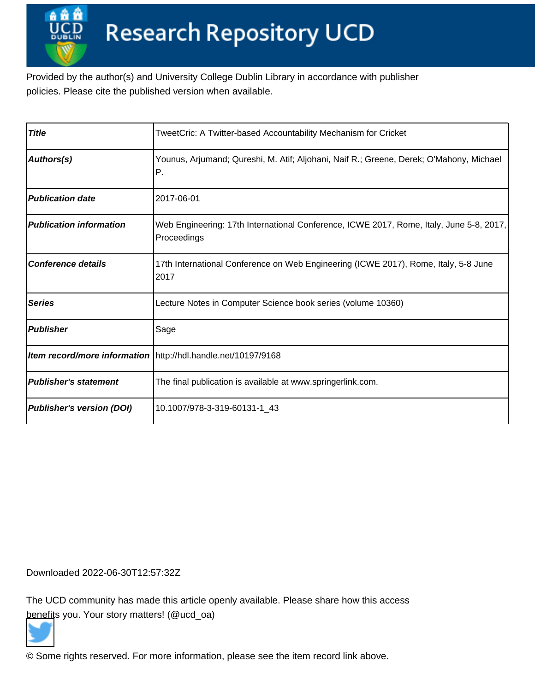Provided by the author(s) and University College Dublin Library in accordance with publisher policies. Please cite the published version when available.

| <b>Title</b>                     | TweetCric: A Twitter-based Accountability Mechanism for Cricket                                        |
|----------------------------------|--------------------------------------------------------------------------------------------------------|
| Authors(s)                       | Younus, Arjumand; Qureshi, M. Atif; Aljohani, Naif R.; Greene, Derek; O'Mahony, Michael<br>P.          |
| <b>Publication date</b>          | 2017-06-01                                                                                             |
| <b>Publication information</b>   | Web Engineering: 17th International Conference, ICWE 2017, Rome, Italy, June 5-8, 2017,<br>Proceedings |
| <b>Conference details</b>        | 17th International Conference on Web Engineering (ICWE 2017), Rome, Italy, 5-8 June<br>12017           |
| <b>Series</b>                    | Lecture Notes in Computer Science book series (volume 10360)                                           |
| <b>Publisher</b>                 | Sage                                                                                                   |
|                                  | Item record/more information   http://hdl.handle.net/10197/9168                                        |
| <b>Publisher's statement</b>     | The final publication is available at www.springerlink.com.                                            |
| <b>Publisher's version (DOI)</b> | 10.1007/978-3-319-60131-1_43                                                                           |

Downloaded 2022-06-30T12:57:32Z

The UCD community has made this article openly available. Please share how this access [benefit](https://twitter.com/intent/tweet?via=ucd_oa&text=DOI%3A10.1007%2F978-3-319-60131-1_43&url=http%3A%2F%2Fhdl.handle.net%2F10197%2F9168)s you. Your story matters! (@ucd\_oa)



© Some rights reserved. For more information, please see the item record link above.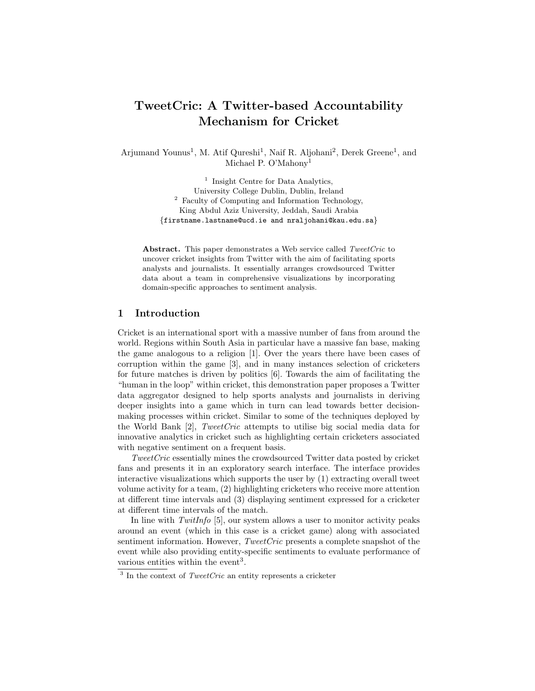# TweetCric: A Twitter-based Accountability Mechanism for Cricket

Arjumand Younus<sup>1</sup>, M. Atif Qureshi<sup>1</sup>, Naif R. Aljohani<sup>2</sup>, Derek Greene<sup>1</sup>, and Michael P. O'Mahony<sup>1</sup>

> <sup>1</sup> Insight Centre for Data Analytics, University College Dublin, Dublin, Ireland <sup>2</sup> Faculty of Computing and Information Technology, King Abdul Aziz University, Jeddah, Saudi Arabia {firstname.lastname@ucd.ie and nraljohani@kau.edu.sa}

Abstract. This paper demonstrates a Web service called TweetCric to uncover cricket insights from Twitter with the aim of facilitating sports analysts and journalists. It essentially arranges crowdsourced Twitter data about a team in comprehensive visualizations by incorporating domain-specific approaches to sentiment analysis.

#### 1 Introduction

Cricket is an international sport with a massive number of fans from around the world. Regions within South Asia in particular have a massive fan base, making the game analogous to a religion [1]. Over the years there have been cases of corruption within the game [3], and in many instances selection of cricketers for future matches is driven by politics [6]. Towards the aim of facilitating the "human in the loop" within cricket, this demonstration paper proposes a Twitter data aggregator designed to help sports analysts and journalists in deriving deeper insights into a game which in turn can lead towards better decisionmaking processes within cricket. Similar to some of the techniques deployed by the World Bank [2], TweetCric attempts to utilise big social media data for innovative analytics in cricket such as highlighting certain cricketers associated with negative sentiment on a frequent basis.

TweetCric essentially mines the crowdsourced Twitter data posted by cricket fans and presents it in an exploratory search interface. The interface provides interactive visualizations which supports the user by (1) extracting overall tweet volume activity for a team, (2) highlighting cricketers who receive more attention at different time intervals and (3) displaying sentiment expressed for a cricketer at different time intervals of the match.

In line with  $T withInfo [5]$ , our system allows a user to monitor activity peaks around an event (which in this case is a cricket game) along with associated sentiment information. However, *TweetCric* presents a complete snapshot of the event while also providing entity-specific sentiments to evaluate performance of various entities within the event<sup>3</sup>.

 $3$  In the context of *TweetCric* an entity represents a cricketer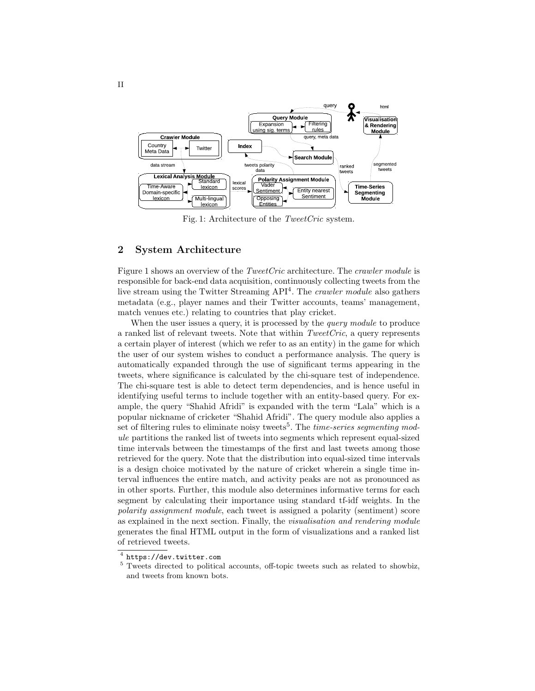

Fig. 1: Architecture of the TweetCric system.

## 2 System Architecture

Figure 1 shows an overview of the *TweetCric* architecture. The *crawler module* is responsible for back-end data acquisition, continuously collecting tweets from the live stream using the Twitter Streaming API<sup>4</sup>. The *crawler module* also gathers metadata (e.g., player names and their Twitter accounts, teams' management, match venues etc.) relating to countries that play cricket.

When the user issues a query, it is processed by the *query module* to produce a ranked list of relevant tweets. Note that within  $TweetCric$ , a query represents a certain player of interest (which we refer to as an entity) in the game for which the user of our system wishes to conduct a performance analysis. The query is automatically expanded through the use of significant terms appearing in the tweets, where significance is calculated by the chi-square test of independence. The chi-square test is able to detect term dependencies, and is hence useful in identifying useful terms to include together with an entity-based query. For example, the query "Shahid Afridi" is expanded with the term "Lala" which is a popular nickname of cricketer "Shahid Afridi". The query module also applies a set of filtering rules to eliminate noisy tweets<sup>5</sup>. The *time-series segmenting mod*ule partitions the ranked list of tweets into segments which represent equal-sized time intervals between the timestamps of the first and last tweets among those retrieved for the query. Note that the distribution into equal-sized time intervals is a design choice motivated by the nature of cricket wherein a single time interval influences the entire match, and activity peaks are not as pronounced as in other sports. Further, this module also determines informative terms for each segment by calculating their importance using standard tf-idf weights. In the polarity assignment module, each tweet is assigned a polarity (sentiment) score as explained in the next section. Finally, the visualisation and rendering module generates the final HTML output in the form of visualizations and a ranked list of retrieved tweets.

 $^4$  https://dev.twitter.com

<sup>&</sup>lt;sup>5</sup> Tweets directed to political accounts, off-topic tweets such as related to showbiz, and tweets from known bots.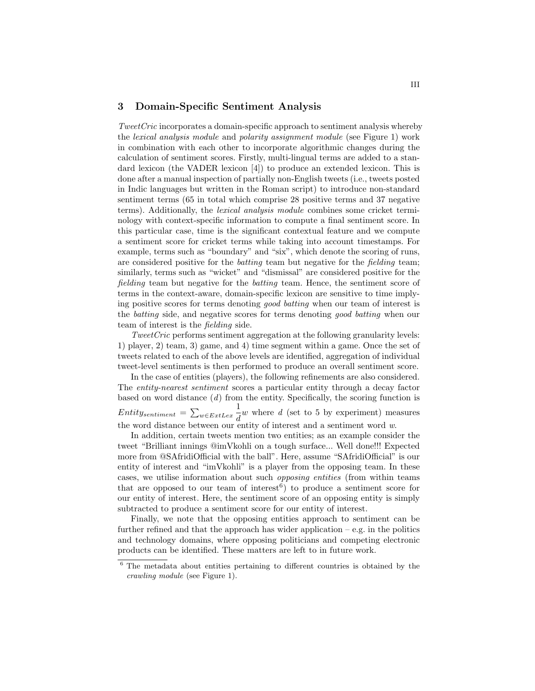#### 3 Domain-Specific Sentiment Analysis

TweetCric incorporates a domain-specific approach to sentiment analysis whereby the lexical analysis module and polarity assignment module (see Figure 1) work in combination with each other to incorporate algorithmic changes during the calculation of sentiment scores. Firstly, multi-lingual terms are added to a standard lexicon (the VADER lexicon [4]) to produce an extended lexicon. This is done after a manual inspection of partially non-English tweets (i.e., tweets posted in Indic languages but written in the Roman script) to introduce non-standard sentiment terms (65 in total which comprise 28 positive terms and 37 negative terms). Additionally, the lexical analysis module combines some cricket terminology with context-specific information to compute a final sentiment score. In this particular case, time is the significant contextual feature and we compute a sentiment score for cricket terms while taking into account timestamps. For example, terms such as "boundary" and "six", which denote the scoring of runs, are considered positive for the *batting* team but negative for the *fielding* team; similarly, terms such as "wicket" and "dismissal" are considered positive for the fielding team but negative for the batting team. Hence, the sentiment score of terms in the context-aware, domain-specific lexicon are sensitive to time implying positive scores for terms denoting good batting when our team of interest is the batting side, and negative scores for terms denoting good batting when our team of interest is the fielding side.

TweetCric performs sentiment aggregation at the following granularity levels: 1) player, 2) team, 3) game, and 4) time segment within a game. Once the set of tweets related to each of the above levels are identified, aggregation of individual tweet-level sentiments is then performed to produce an overall sentiment score.

In the case of entities (players), the following refinements are also considered. The entity-nearest sentiment scores a particular entity through a decay factor based on word distance  $(d)$  from the entity. Specifically, the scoring function is  $Entity_{sentiment} = \sum_{w \in ExtLex}$ 1  $\frac{1}{d}w$  where d (set to 5 by experiment) measures the word distance between our entity of interest and a sentiment word w.

In addition, certain tweets mention two entities; as an example consider the tweet "Brilliant innings @imVkohli on a tough surface... Well done!!! Expected more from @SAfridiOfficial with the ball". Here, assume "SAfridiOfficial" is our entity of interest and "imVkohli" is a player from the opposing team. In these cases, we utilise information about such opposing entities (from within teams that are opposed to our team of interest<sup>6</sup>) to produce a sentiment score for our entity of interest. Here, the sentiment score of an opposing entity is simply subtracted to produce a sentiment score for our entity of interest.

Finally, we note that the opposing entities approach to sentiment can be further refined and that the approach has wider application  $-e.g.$  in the politics and technology domains, where opposing politicians and competing electronic products can be identified. These matters are left to in future work.

 $6$  The metadata about entities pertaining to different countries is obtained by the crawling module (see Figure 1).